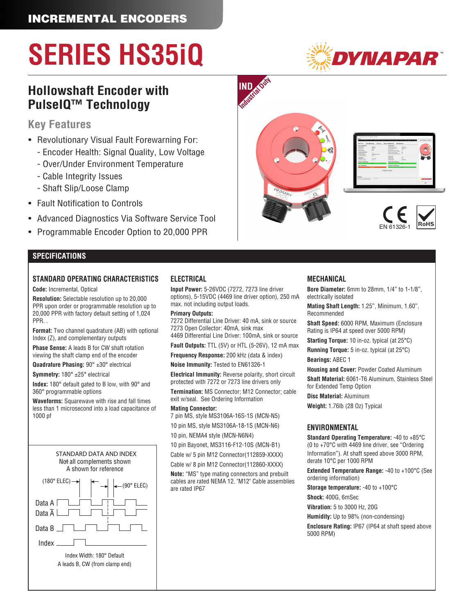### INCREMENTAL ENCODERS

# **SERIES HS35iQ**

### **Hollowshaft Encoder with PulseIQ™ Technology**

### **Key Features**

- Revolutionary Visual Fault Forewarning For:
	- Encoder Health: Signal Quality, Low Voltage
	- Over/Under Environment Temperature
	- Cable Integrity Issues
	- Shaft Slip/Loose Clamp
- Fault Notification to Controls
- Advanced Diagnostics Via Software Service Tool
- Programmable Encoder Option to 20,000 PPR

#### **SPECIFICATIONS**

#### **STANDARD OPERATING CHARACTERISTICS**

**Code:** Incremental, Optical

**Resolution:** Selectable resolution up to 20,000 PPR upon order or programmable resolution up to 20,000 PPR with factory default setting of 1,024 PPR. .

**Format:** Two channel quadrature (AB) with optional Index (Z), and complementary outputs

**Phase Sense:** A leads B for CW shaft rotation viewing the shaft clamp end of the encoder

**Quadrature Phasing:** 90° ±30° electrical

**Symmetry:** 180° ±25° electrical

**Index:** 180° default gated to B low, with 90° and 360° programmable options

**Waveforms:** Squarewave with rise and fall times less than 1 microsecond into a load capacitance of 1000 pf



#### **ELECTRICAL**

**Input Power:** 5-26VDC (7272, 7273 line driver options), 5-15VDC (4469 line driver option), 250 mA max. not including output loads.

#### **Primary Outputs:**

7272 Differential Line Driver: 40 mA, sink or source 7273 Open Collector: 40mA, sink max 4469 Differential Line Driver: 100mA, sink or source

**Fault Outputs:** TTL (5V) or HTL (5-26V), 12 mA max

**Frequency Response:** 200 kHz (data & index) **Noise Immunity:** Tested to EN61326-1

**Electrical Immunity:** Reverse polarity, short circuit protected with 7272 or 7273 line drivers only **Termination:** MS Connector; M12 Connector; cable exit w/seal. See Ordering Information

**Mating Connector:**

7 pin MS, style MS3106A-16S-1S (MCN-N5)

10 pin MS, style MS3106A-18-1S (MCN-N6)

10 pin, NEMA4 style (MCN-N6N4)

10 pin Bayonet, MS3116-F12-10S (MCN-B1) Cable w/ 5 pin M12 Connector(112859-XXXX)

Cable w/ 8 pin M12 Connector(112860-XXXX)

**Note:** "MS" type mating connectors and prebuilt cables are rated NEMA 12. "M12" Cable assemblies are rated IP67

#### **MECHANICAL**

**Bore Diameter:** 6mm to 28mm, 1/4" to 1-1/8", electrically isolated

**Mating Shaft Length:** 1.25", Minimum, 1.60", Recommended

**Shaft Speed:** 6000 RPM, Maximum (Enclosure Rating is IP64 at speed over 5000 RPM)

**Starting Torque:** 10 in-oz. typical (at 25°C)

**Running Torque:** 5 in-oz. typical (at 25°C)

**Bearings:** ABEC 1

**Housing and Cover:** Powder Coated Aluminum **Shaft Material:** 6061-T6 Aluminum, Stainless Steel

for Extended Temp Option

**Disc Material:** Aluminum **Weight:** 1.76lb (28 Oz) Typical

#### **ENVIRONMENTAL**

**Standard Operating Temperature:** -40 to +85°C (0 to +70°C with 4469 line driver, see "Ordering Information"). At shaft speed above 3000 RPM, derate 10°C per 1000 RPM

**Extended Temperature Range:** -40 to +100°C (See ordering information)

**Storage temperature:** -40 to +100°C

**Shock:** 400G, 6mSec

**Vibration:** 5 to 3000 Hz, 20G

**Humidity:** Up to 98% (non-condensing) **Enclosure Rating:** IP67 (IP64 at shaft speed above

5000 RPM)







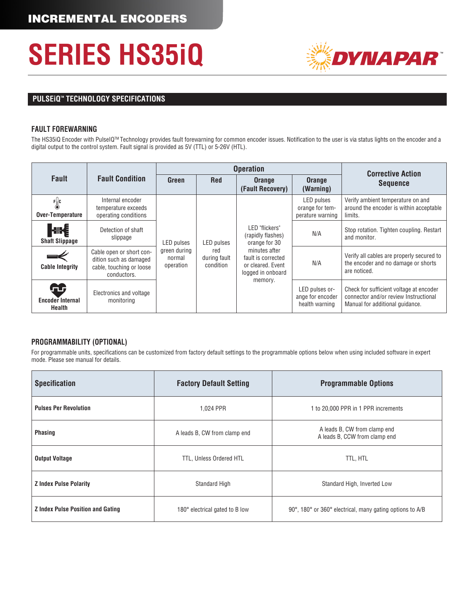

### **PULSEIQ<sup>™</sup> TECHNOLOGY SPECIFICATIONS**

#### **FAULT FOREWARNING**

The HS35iQ Encoder with PulseIQ™ Technology provides fault forewarning for common encoder issues. Notification to the user is via status lights on the encoder and a digital output to the control system. Fault signal is provided as 5V (TTL) or 5-26V (HTL).

|                                        |                                                                                               |                                                          | <b>Operation</b>                                      | <b>Corrective Action</b>                                                      |                                                      |                                                                                                                     |
|----------------------------------------|-----------------------------------------------------------------------------------------------|----------------------------------------------------------|-------------------------------------------------------|-------------------------------------------------------------------------------|------------------------------------------------------|---------------------------------------------------------------------------------------------------------------------|
| <b>Fault</b>                           | <b>Fault Condition</b>                                                                        | Green                                                    | <b>Red</b>                                            | <b>Orange</b><br>(Fault Recovery)                                             | <b>Orange</b><br>(Warning)                           | <b>Sequence</b>                                                                                                     |
| F <sub>o</sub> c<br>Over-Temperature   | Internal encoder<br>temperature exceeds<br>operating conditions                               | <b>LED</b> pulses<br>green during<br>normal<br>operation | <b>LED</b> pulses<br>red<br>during fault<br>condition | LED "flickers"<br>(rapidly flashes)<br>orange for 30                          | LED pulses<br>orange for tem-<br>perature warning    | Verify ambient temperature on and<br>around the encoder is within acceptable<br>limits.                             |
| ⊲⊪{<br><b>Shaft Slippage</b>           | Detection of shaft<br>slippage                                                                |                                                          |                                                       |                                                                               | N/A                                                  | Stop rotation. Tighten coupling. Restart<br>and monitor.                                                            |
| <b>Cable Integrity</b>                 | Cable open or short con-<br>dition such as damaged<br>cable, touching or loose<br>conductors. |                                                          |                                                       | minutes after<br>fault is corrected<br>or cleared. Event<br>logged in onboard | N/A                                                  | Verify all cables are properly secured to<br>the encoder and no damage or shorts<br>are noticed.                    |
| Œ<br><b>Encoder Internal</b><br>Health | Electronics and voltage<br>monitoring                                                         |                                                          |                                                       | memory.                                                                       | LED pulses or-<br>ange for encoder<br>health warning | Check for sufficient voltage at encoder<br>connector and/or review Instructional<br>Manual for additional quidance. |

#### **PROGRAMMABILITY (OPTIONAL)**

For programmable units, specifications can be customized from factory default settings to the programmable options below when using included software in expert mode. Please see manual for details.

| <b>Specification</b>                     | <b>Factory Default Setting</b> | <b>Programmable Options</b>                                   |  |  |
|------------------------------------------|--------------------------------|---------------------------------------------------------------|--|--|
| <b>Pulses Per Revolution</b>             | 1.024 PPR                      | 1 to 20,000 PPR in 1 PPR increments                           |  |  |
| <b>Phasing</b>                           | A leads B, CW from clamp end   | A leads B, CW from clamp end<br>A leads B, CCW from clamp end |  |  |
| <b>Output Voltage</b>                    | TTL, Unless Ordered HTL        | TTL, HTL                                                      |  |  |
| <b>Z Index Pulse Polarity</b>            | <b>Standard High</b>           | Standard High, Inverted Low                                   |  |  |
| <b>Z</b> Index Pulse Position and Gating | 180° electrical gated to B low | 90°, 180° or 360° electrical, many gating options to A/B      |  |  |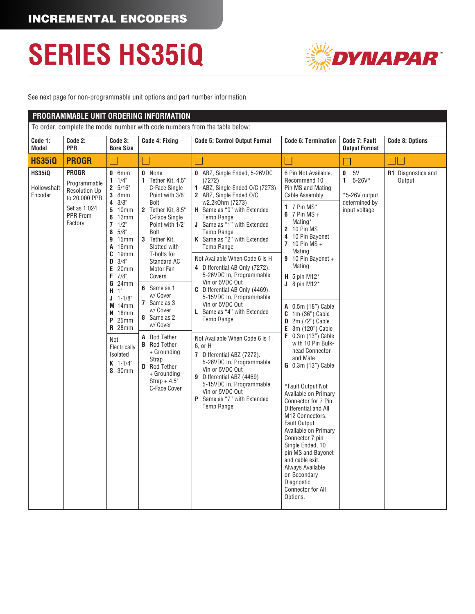

See next page for non-programmable unit options and part number information.

|                                         | PROGRAMMABLE UNIT ORDERING INFORMATION<br>To order, complete the model number with code numbers from the table below: |                                                                                                                                                                                                                                                                                                                                                                                            |                                                                                                                                                                                                                                                                                                                                                                                                                                                          |                                                                                                                                                                                                                                                                                                                                                                                                                                                                                                                                                                                                                                                                                                                                                                                                |                                                                                                                                                                                                                                                                                                                                                                                                                                                                                                                                                                                                                                                                                                                                                                                                                             |                                                                           |                              |  |
|-----------------------------------------|-----------------------------------------------------------------------------------------------------------------------|--------------------------------------------------------------------------------------------------------------------------------------------------------------------------------------------------------------------------------------------------------------------------------------------------------------------------------------------------------------------------------------------|----------------------------------------------------------------------------------------------------------------------------------------------------------------------------------------------------------------------------------------------------------------------------------------------------------------------------------------------------------------------------------------------------------------------------------------------------------|------------------------------------------------------------------------------------------------------------------------------------------------------------------------------------------------------------------------------------------------------------------------------------------------------------------------------------------------------------------------------------------------------------------------------------------------------------------------------------------------------------------------------------------------------------------------------------------------------------------------------------------------------------------------------------------------------------------------------------------------------------------------------------------------|-----------------------------------------------------------------------------------------------------------------------------------------------------------------------------------------------------------------------------------------------------------------------------------------------------------------------------------------------------------------------------------------------------------------------------------------------------------------------------------------------------------------------------------------------------------------------------------------------------------------------------------------------------------------------------------------------------------------------------------------------------------------------------------------------------------------------------|---------------------------------------------------------------------------|------------------------------|--|
|                                         |                                                                                                                       |                                                                                                                                                                                                                                                                                                                                                                                            |                                                                                                                                                                                                                                                                                                                                                                                                                                                          |                                                                                                                                                                                                                                                                                                                                                                                                                                                                                                                                                                                                                                                                                                                                                                                                |                                                                                                                                                                                                                                                                                                                                                                                                                                                                                                                                                                                                                                                                                                                                                                                                                             |                                                                           |                              |  |
| Code 1:<br>Model                        | Code 2:<br><b>PPR</b>                                                                                                 | Code 3:<br><b>Bore Size</b>                                                                                                                                                                                                                                                                                                                                                                | Code 4: Fixing                                                                                                                                                                                                                                                                                                                                                                                                                                           | <b>Code 5: Control Output Format</b>                                                                                                                                                                                                                                                                                                                                                                                                                                                                                                                                                                                                                                                                                                                                                           | <b>Code 6: Termination</b>                                                                                                                                                                                                                                                                                                                                                                                                                                                                                                                                                                                                                                                                                                                                                                                                  | Code 7: Fault<br><b>Output Format</b>                                     | <b>Code 8: Options</b>       |  |
| <b>HS35iQ</b>                           | <b>PROGR</b>                                                                                                          |                                                                                                                                                                                                                                                                                                                                                                                            |                                                                                                                                                                                                                                                                                                                                                                                                                                                          |                                                                                                                                                                                                                                                                                                                                                                                                                                                                                                                                                                                                                                                                                                                                                                                                | ×.                                                                                                                                                                                                                                                                                                                                                                                                                                                                                                                                                                                                                                                                                                                                                                                                                          |                                                                           |                              |  |
| <b>HS35iQ</b><br>Hollowshaft<br>Encoder | <b>PROGR</b><br>Programmable<br><b>Resolution Up</b><br>to 20,000 PPR.<br>Set as 1,024<br>PPR From<br>Factory         | $0.6$ mm<br>$1 \t1/4$ "<br>2 5/16"<br>$3 \space$ 8mm<br>$4 \frac{3}{8}$<br><b>5</b> 10mm<br>6.12mm<br>$7 \frac{1}{2}$<br>$8\quad 5/8"$<br><b>9</b> 15mm<br>A 16mm<br>$C$ 19mm<br>$D \quad 3/4"$<br>$E$ 20mm<br>$F \t 7/8$<br><b>G</b> 24mm<br>$H$ 1"<br>$J 1 - 1/8$<br>$M$ 14mm<br>$N$ 18mm<br>$P$ 25mm<br><b>R</b> 28mm<br>Not<br>Electrically<br>Isolated<br>$K$ 1-1/4"<br><b>S</b> 30mm | 0 None<br>1 Tether Kit, 4.5"<br>C-Face Single<br>Point with 3/8"<br>Bolt<br>2 Tether Kit, 8.5"<br>C-Face Single<br>Point with 1/2"<br>Bolt<br>3 Tether Kit,<br>Slotted with<br>T-bolts for<br>Standard AC<br>Motor Fan<br>Covers<br>6 Same as 1<br>w/ Cover<br>7 Same as 3<br>w/ Cover<br>8 Same as 2<br>w/ Cover<br>A Rod Tether<br><b>B</b> Rod Tether<br>+ Grounding<br>Strap<br><b>D</b> Rod Tether<br>+ Grounding<br>$Strap + 4.5"$<br>C-Face Cover | 0 ABZ, Single Ended, 5-26VDC<br>(7272)<br>1 ABZ, Single Ended O/C (7273)<br>2 ABZ, Single Ended O/C<br>w2.2k0hm (7273)<br>H Same as "0" with Extended<br><b>Temp Range</b><br>J Same as "1" with Extended<br><b>Temp Range</b><br>K Same as "2" with Extended<br>Temp Range<br>Not Available When Code 6 is H<br>4 Differential AB Only (7272).<br>5-26VDC In, Programmable<br>Vin or 5VDC Out<br>C Differential AB Only (4469).<br>5-15VDC In, Programmable<br>Vin or 5VDC Out<br>L Same as "4" with Extended<br><b>Temp Range</b><br>Not Available When Code 6 is 1.<br>6, or H<br>7 Differential ABZ (7272).<br>5-26VDC In, Programmable<br>Vin or 5VDC Out<br>9 Differential ABZ (4469)<br>5-15VDC In, Programmable<br>Vin or 5VDC Out<br>P Same as "7" with Extended<br><b>Temp Range</b> | 6 Pin Not Available.<br>Recommend 10<br>Pin MS and Mating<br>Cable Assembly.<br>1 $7$ Pin MS*<br>$6 \overline{7}$ Pin MS +<br>Mating*<br>2 10 Pin MS<br>4 10 Pin Bayonet<br>7 10 Pin MS +<br>Mating<br>9 10 Pin Bayonet +<br>Mating<br>$H$ 5 pin M12*<br>$J_8$ pin M12 <sup>*</sup><br>A 0.5m (18") Cable<br>$C \quad 1m (36")$ Cable<br>$D$ 2m (72") Cable<br>$E$ 3m (120") Cable<br>$F$ 0.3m (13") Cable<br>with 10 Pin Bulk-<br>head Connector<br>and Mate<br>G 0.3m (13") Cable<br>*Fault Output Not<br>Available on Primary<br>Connector for 7 Pin<br>Differential and All<br>M12 Connectors.<br><b>Fault Output</b><br>Available on Primary<br>Connector 7 pin<br>Single Ended, 10<br>pin MS and Bayonet<br>and cable exit.<br>Always Available<br>on Secondary<br>Diagnostic<br><b>Connector for All</b><br>Options. | 5V<br>0<br>$1 5-26V^*$<br>*5-26V output<br>determined by<br>input voltage | R1 Diagnostics and<br>Output |  |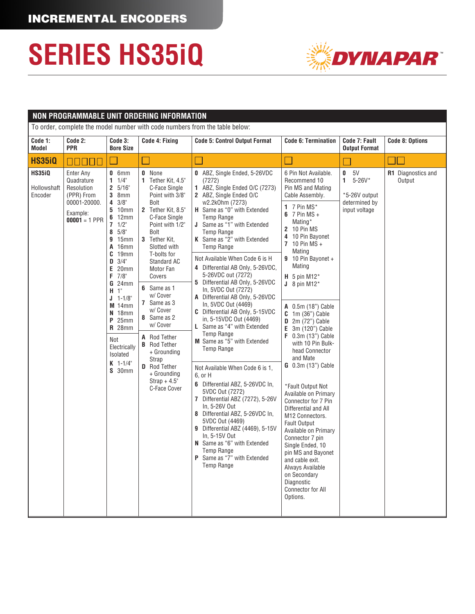

|                                         | NON PROGRAMMABLE UNIT ORDERING INFORMATION                                                         |                                                                                                                                                                                                                                                                                                                                                                                     |                                                                                                                                                                                                                                                                                                                                                                                                                                                                        |                                                                                                                                                                                                                                                                                                                                                                                                                                                                                                                                                                                                                                                                                                                                                                                                                                                                                                                                                                                                                                            |                                                                                                                                                                                                                                                                                                                                                                                                                                                                                                                                                                                                                                                                                                                                                                                                               |                                                                           |                              |  |  |
|-----------------------------------------|----------------------------------------------------------------------------------------------------|-------------------------------------------------------------------------------------------------------------------------------------------------------------------------------------------------------------------------------------------------------------------------------------------------------------------------------------------------------------------------------------|------------------------------------------------------------------------------------------------------------------------------------------------------------------------------------------------------------------------------------------------------------------------------------------------------------------------------------------------------------------------------------------------------------------------------------------------------------------------|--------------------------------------------------------------------------------------------------------------------------------------------------------------------------------------------------------------------------------------------------------------------------------------------------------------------------------------------------------------------------------------------------------------------------------------------------------------------------------------------------------------------------------------------------------------------------------------------------------------------------------------------------------------------------------------------------------------------------------------------------------------------------------------------------------------------------------------------------------------------------------------------------------------------------------------------------------------------------------------------------------------------------------------------|---------------------------------------------------------------------------------------------------------------------------------------------------------------------------------------------------------------------------------------------------------------------------------------------------------------------------------------------------------------------------------------------------------------------------------------------------------------------------------------------------------------------------------------------------------------------------------------------------------------------------------------------------------------------------------------------------------------------------------------------------------------------------------------------------------------|---------------------------------------------------------------------------|------------------------------|--|--|
|                                         | To order, complete the model number with code numbers from the table below:                        |                                                                                                                                                                                                                                                                                                                                                                                     |                                                                                                                                                                                                                                                                                                                                                                                                                                                                        |                                                                                                                                                                                                                                                                                                                                                                                                                                                                                                                                                                                                                                                                                                                                                                                                                                                                                                                                                                                                                                            |                                                                                                                                                                                                                                                                                                                                                                                                                                                                                                                                                                                                                                                                                                                                                                                                               |                                                                           |                              |  |  |
| Code 1:<br>Model                        | Code 2:<br><b>PPR</b>                                                                              | Code 3:<br><b>Bore Size</b>                                                                                                                                                                                                                                                                                                                                                         | Code 4: Fixing                                                                                                                                                                                                                                                                                                                                                                                                                                                         | <b>Code 5: Control Output Format</b>                                                                                                                                                                                                                                                                                                                                                                                                                                                                                                                                                                                                                                                                                                                                                                                                                                                                                                                                                                                                       | <b>Code 6: Termination</b>                                                                                                                                                                                                                                                                                                                                                                                                                                                                                                                                                                                                                                                                                                                                                                                    | Code 7: Fault<br><b>Output Format</b>                                     | <b>Code 8: Options</b>       |  |  |
| <b>HS35iQ</b>                           | 00000                                                                                              |                                                                                                                                                                                                                                                                                                                                                                                     |                                                                                                                                                                                                                                                                                                                                                                                                                                                                        |                                                                                                                                                                                                                                                                                                                                                                                                                                                                                                                                                                                                                                                                                                                                                                                                                                                                                                                                                                                                                                            |                                                                                                                                                                                                                                                                                                                                                                                                                                                                                                                                                                                                                                                                                                                                                                                                               |                                                                           |                              |  |  |
| <b>HS35iQ</b><br>Hollowshaft<br>Encoder | Enter Any<br>Quadrature<br>Resolution<br>(PPR) From<br>00001-20000.<br>Example:<br>$00001 = 1$ PPR | $0$ 6mm<br>$1 \t1/4$<br>2 5/16"<br>$3$ 8mm<br>$4 \frac{3}{8}$<br><b>5</b> 10mm<br>$6$ 12mm<br>$7 \frac{1}{2}$<br>$8\quad 5/8$ "<br><b>9</b> 15mm<br>A 16mm<br>$C$ 19 $mm$<br>$D \quad 3/4"$<br>$E$ 20mm<br>$F$ 7/8"<br><b>G</b> 24mm<br>$H$ 1"<br>$J$ 1-1/8"<br>$M$ 14mm<br>$N$ 18mm<br>$P$ 25mm<br><b>R</b> 28mm<br>Not<br>Electrically<br>Isolated<br>$K$ 1-1/4"<br><b>S</b> 30mm | <b>0</b> None<br>1 Tether Kit, 4.5"<br>C-Face Single<br>Point with 3/8"<br>Bolt<br>2 Tether Kit, 8.5"<br>C-Face Single<br>Point with 1/2"<br>Bolt<br>3 Tether Kit,<br>Slotted with<br>T-bolts for<br>Standard AC<br>Motor Fan<br>Covers<br>6 Same as 1<br>w/ Cover<br>7 Same as 3<br>w/ Cover<br>8 Same as 2<br>w/ Cover<br><b>A</b> Rod Tether<br><b>B</b> Rod Tether<br>+ Grounding<br>Strap<br><b>D</b> Rod Tether<br>+ Grounding<br>$Strap + 4.5"$<br>C-Face Cover | 0 ABZ, Single Ended, 5-26VDC<br>(7272)<br>1 ABZ, Single Ended O/C (7273)<br>2 ABZ, Single Ended O/C<br>w2.2k0hm (7273)<br>H Same as "0" with Extended<br><b>Temp Range</b><br>J Same as "1" with Extended<br><b>Temp Range</b><br>K Same as "2" with Extended<br>Temp Range<br>Not Available When Code 6 is H<br>4 Differential AB Only, 5-26VDC,<br>5-26VDC out (7272)<br>5 Differential AB Only, 5-26VDC<br>In, 5VDC Out (7272)<br>A Differential AB Only, 5-26VDC<br>In, 5VDC Out (4469)<br>C Differential AB Only, 5-15VDC<br>in, 5-15VDC Out (4469)<br>L Same as "4" with Extended<br><b>Temp Range</b><br>M Same as "5" with Extended<br><b>Temp Range</b><br>Not Available When Code 6 is 1.<br>6, or H<br>6 Differential ABZ, 5-26VDC In,<br>5VDC Out (7272)<br>7 Differential ABZ (7272), 5-26V<br>In, 5-26V Out<br>8 Differential ABZ, 5-26VDC In,<br>5VDC Out (4469)<br><b>9</b> Differential ABZ (4469), 5-15V<br>In, 5-15V Out<br>N Same as "6" with Extended<br><b>Temp Range</b><br>Same as "7" with Extended<br>Temp Range | 6 Pin Not Available.<br>Recommend 10<br>Pin MS and Mating<br>Cable Assembly.<br>1 $7$ Pin MS*<br>$6 \t7$ Pin MS +<br>Mating*<br>2 10 Pin MS<br>4 10 Pin Bayonet<br>7 10 Pin MS +<br>Mating<br>9 10 Pin Bayonet +<br>Mating<br>$H$ 5 pin M12*<br>$J_8$ pin M12 <sup>*</sup><br>A 0.5m (18") Cable<br>$C \quad 1m \ (36")$ Cable<br>$D$ 2m (72") Cable<br>3m (120") Cable<br>E.<br>F 0.3m (13") Cable<br>with 10 Pin Bulk-<br>head Connector<br>and Mate<br>G 0.3m (13") Cable<br>*Fault Output Not<br>Available on Primary<br>Connector for 7 Pin<br>Differential and All<br>M12 Connectors.<br><b>Fault Output</b><br>Available on Primary<br>Connector 7 pin<br>Single Ended, 10<br>pin MS and Bayonet<br>and cable exit.<br>Always Available<br>on Secondary<br>Diagnostic<br>Connector for All<br>Options. | 5V<br>0<br>$1 5-26V^*$<br>*5-26V output<br>determined by<br>input voltage | R1 Diagnostics and<br>Output |  |  |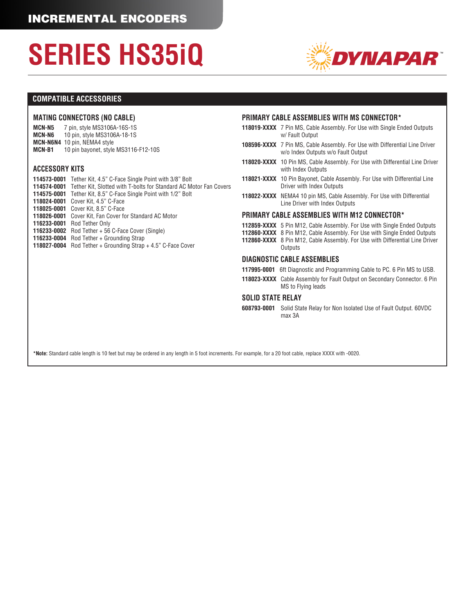

#### **COMPATIBLE ACCESSORIES**

#### **MATING CONNECTORS (NO CABLE)**

**MCN-N5** 7 pin, style MS3106A-16S-1S<br>**MCN-N6** 10 pin, style MS3106A-18-1S **MCN-N6** 10 pin, style MS3106A-18-1S **MCN-N6N4** 10 pin, NEMA4 style **MCN-B1** 10 pin bayonet, style MS3116-F12-10S

#### **ACCESSORY KITS**

| <b>114573-0001</b> Tether Kit, 4.5" C-Face Single Point with 3/8" Bolt               |
|--------------------------------------------------------------------------------------|
| <b>114574-0001</b> Tether Kit, Slotted with T-bolts for Standard AC Motor Fan Covers |
| <b>114575-0001</b> Tether Kit, 8.5" C-Face Single Point with 1/2" Bolt               |
| 118024-0001 Cover Kit, 4.5" C-Face                                                   |
| <b>118025-0001</b> Cover Kit, 8.5" C-Face                                            |
| 118026-0001 Cover Kit, Fan Cover for Standard AC Motor                               |
| <b>116233-0001</b> Rod Tether Only                                                   |
| $116233 - 0002$ Rod Tether + 56 C-Face Cover (Single)                                |
| 116233-0004 Rod Tether + Grounding Strap                                             |
| <b>118027-0004</b> Rod Tether + Grounding Strap + 4.5" C-Face Cover                  |
|                                                                                      |

#### **PRIMARY CABLE ASSEMBLIES WITH MS CONNECTOR\***

- **118019-XXXX** 7 Pin MS, Cable Assembly. For Use with Single Ended Outputs w/ Fault Output
- **108596-XXXX** 7 Pin MS, Cable Assembly. For Use with Differential Line Driver w/o Index Outputs w/o Fault Output
- **118020-XXXX** 10 Pin MS, Cable Assembly. For Use with Differential Line Driver with Index Outputs
- **118021-XXXX** 10 Pin Bayonet, Cable Assembly. For Use with Differential Line Driver with Index Outputs
- **118022-XXXX** NEMA4 10 pin MS, Cable Assembly. For Use with Differential Line Driver with Index Outputs

#### **PRIMARY CABLE ASSEMBLIES WITH M12 CONNECTOR\***

- **112859-XXXX** 5 Pin M12, Cable Assembly. For Use with Single Ended Outputs
- **112860-XXXX** 8 Pin M12, Cable Assembly. For Use with Single Ended Outputs
- **112860-XXXX** 8 Pin M12, Cable Assembly. For Use with Differential Line Driver **Outputs**

#### **DIAGNOSTIC CABLE ASSEMBLIES**

- **117995-0001** 6ft Diagnostic and Programming Cable to PC. 6 Pin MS to USB.
- **118023-XXXX** Cable Assembly for Fault Output on Secondary Connector. 6 Pin MS to Flying leads

#### **SOLID STATE RELAY**

**608793-0001** Solid State Relay for Non Isolated Use of Fault Output. 60VDC max 3A

**\*Note:** Standard cable length is 10 feet but may be ordered in any length in 5 foot increments. For example, for a 20 foot cable, replace XXXX with -0020.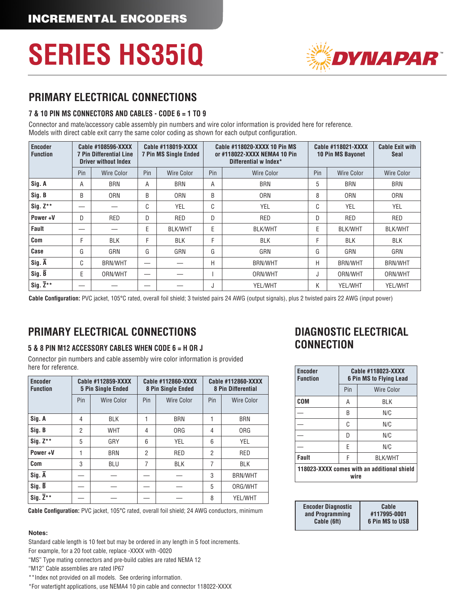

### **PRIMARY ELECTRICAL CONNECTIONS**

#### **7 & 10 PIN MS CONNECTORS AND CABLES - CODE 6 = 1 TO 9**

Connector and mate/accessory cable assembly pin numbers and wire color information is provided here for reference. Models with direct cable exit carry the same color coding as shown for each output configuration.

| <b>Encoder</b><br><b>Function</b> |     | Cable #108596-XXXX<br><b>7 Pin Differential Line</b><br><b>Driver without Index</b> | <b>Cable #118019-XXXX</b><br><b>7 Pin MS Single Ended</b> |                | Cable #118020-XXXX 10 Pin MS<br>or #118022-XXXX NEMA4 10 Pin<br>Differential w Index* |                | Cable #118021-XXXX<br><b>10 Pin MS Bayonet</b> |                   | <b>Cable Exit with</b><br><b>Seal</b> |
|-----------------------------------|-----|-------------------------------------------------------------------------------------|-----------------------------------------------------------|----------------|---------------------------------------------------------------------------------------|----------------|------------------------------------------------|-------------------|---------------------------------------|
|                                   | Pin | <b>Wire Color</b>                                                                   | Pin                                                       | Wire Color     | Pin                                                                                   | Wire Color     | Pin                                            | <b>Wire Color</b> | <b>Wire Color</b>                     |
| Sig. A                            | A   | <b>BRN</b>                                                                          | А                                                         | <b>BRN</b>     | Α                                                                                     | <b>BRN</b>     | 5                                              | <b>BRN</b>        | <b>BRN</b>                            |
| Sig. B                            | B   | <b>ORN</b>                                                                          | B                                                         | <b>ORN</b>     | B                                                                                     | <b>ORN</b>     | 8                                              | <b>ORN</b>        | <b>ORN</b>                            |
| Sig. $Z^{\star\star}$             |     |                                                                                     | C                                                         | YEL            | C                                                                                     | <b>YEL</b>     | C                                              | <b>YEL</b>        | YEL                                   |
| Power+V                           | D   | RED                                                                                 | D                                                         | <b>RED</b>     | D                                                                                     | <b>RED</b>     | D                                              | RED               | RED                                   |
| Fault                             |     |                                                                                     | E                                                         | <b>BLK/WHT</b> | E                                                                                     | <b>BLK/WHT</b> | E                                              | <b>BLK/WHT</b>    | <b>BLK/WHT</b>                        |
| Com                               | F   | <b>BLK</b>                                                                          | F                                                         | <b>BLK</b>     | F                                                                                     | <b>BLK</b>     | г                                              | <b>BLK</b>        | <b>BLK</b>                            |
| Case                              | G   | GRN                                                                                 | G                                                         | GRN            | G                                                                                     | GRN            | G                                              | GRN               | GRN                                   |
| $Sig. \overline{A}$               | C   | <b>BRN/WHT</b>                                                                      | $\hspace{0.05cm}$                                         |                | Н                                                                                     | <b>BRN/WHT</b> | Н                                              | <b>BRN/WHT</b>    | <b>BRN/WHT</b>                        |
| Sig. B                            | Е   | ORN/WHT                                                                             |                                                           |                |                                                                                       | ORN/WHT        | J                                              | ORN/WHT           | ORN/WHT                               |
| Sig. $\overline{Z}^{**}$          |     |                                                                                     |                                                           |                | J                                                                                     | YEL/WHT        | Κ                                              | YEL/WHT           | YEL/WHT                               |

**Cable Configuration:** PVC jacket, 105°C rated, overall foil shield; 3 twisted pairs 24 AWG (output signals), plus 2 twisted pairs 22 AWG (input power)

### **PRIMARY ELECTRICAL CONNECTIONS**

#### **5 & 8 PIN M12 ACCESSORY CABLES WHEN CODE 6 = H OR J**

Connector pin numbers and cable assembly wire color information is provided here for reference.

| <b>Encoder</b><br><b>Function</b> | Cable #112859-XXXX<br><b>5 Pin Single Ended</b> |            |     | Cable #112860-XXXX<br>8 Pin Single Ended | Cable #112860-XXXX<br><b>8 Pin Differential</b> |                |  |
|-----------------------------------|-------------------------------------------------|------------|-----|------------------------------------------|-------------------------------------------------|----------------|--|
|                                   | Pin                                             | Wire Color | Pin | Wire Color                               | Pin                                             | Wire Color     |  |
| Sig. A                            | 4                                               | <b>BLK</b> |     | <b>BRN</b>                               |                                                 | <b>BRN</b>     |  |
| Sig. B                            | 2                                               | <b>WHT</b> | 4   | <b>ORG</b>                               | 4                                               | <b>ORG</b>     |  |
| $Sig. Z***$                       | 5                                               | GRY        | 6   | YEL                                      | 6                                               | YEL            |  |
| Power+V                           |                                                 | <b>BRN</b> | 2   | RED                                      | 2                                               | <b>RED</b>     |  |
| Com                               | 3                                               | <b>BLU</b> | 7   | <b>BLK</b>                               | 7                                               | <b>BLK</b>     |  |
| Sig. A                            |                                                 |            |     |                                          | 3                                               | <b>BRN/WHT</b> |  |
| $Sig. \bar{B}$                    |                                                 |            |     |                                          | 5                                               | ORG/WHT        |  |
| Sig. $\overline{Z}^{**}$          |                                                 |            |     |                                          | 8                                               | YEL/WHT        |  |

**Cable Configuration:** PVC jacket, 105°C rated, overall foil shield; 24 AWG conductors, minimum

#### **Notes:**

Standard cable length is 10 feet but may be ordered in any length in 5 foot increments.

For example, for a 20 foot cable, replace -XXXX with -0020

"MS" Type mating connectors and pre-build cables are rated NEMA 12

"M12" Cable assemblies are rated IP67

\*\*Index not provided on all models. See ordering information.

\*For watertight applications, use NEMA4 10 pin cable and connector 118022-XXXX

### **DIAGNOSTIC ELECTRICAL CONNECTION**

| <b>Encoder</b><br><b>Function</b>                   | Cable #118023-XXXX<br><b>6 Pin MS to Flying Lead</b> |                   |  |  |  |  |
|-----------------------------------------------------|------------------------------------------------------|-------------------|--|--|--|--|
|                                                     | Pin                                                  | <b>Wire Color</b> |  |  |  |  |
| COM                                                 | Α                                                    | ri k              |  |  |  |  |
|                                                     | B                                                    | N/C               |  |  |  |  |
|                                                     | C                                                    | N/C               |  |  |  |  |
|                                                     | D                                                    | N/C               |  |  |  |  |
|                                                     | F<br>N/C                                             |                   |  |  |  |  |
| <b>Fault</b>                                        | F<br><b>BLK/WHT</b>                                  |                   |  |  |  |  |
| 118023-XXXX comes with an additional shield<br>wire |                                                      |                   |  |  |  |  |

| <b>Encoder Diagnostic</b> | Cable                  |
|---------------------------|------------------------|
| and Programming           | #117995-0001           |
| Cable (6ft)               | <b>6 Pin MS to USB</b> |
|                           |                        |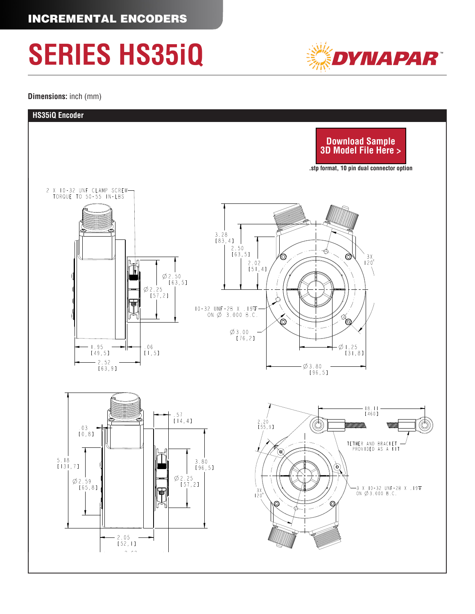**Dimensions:** inch (mm)